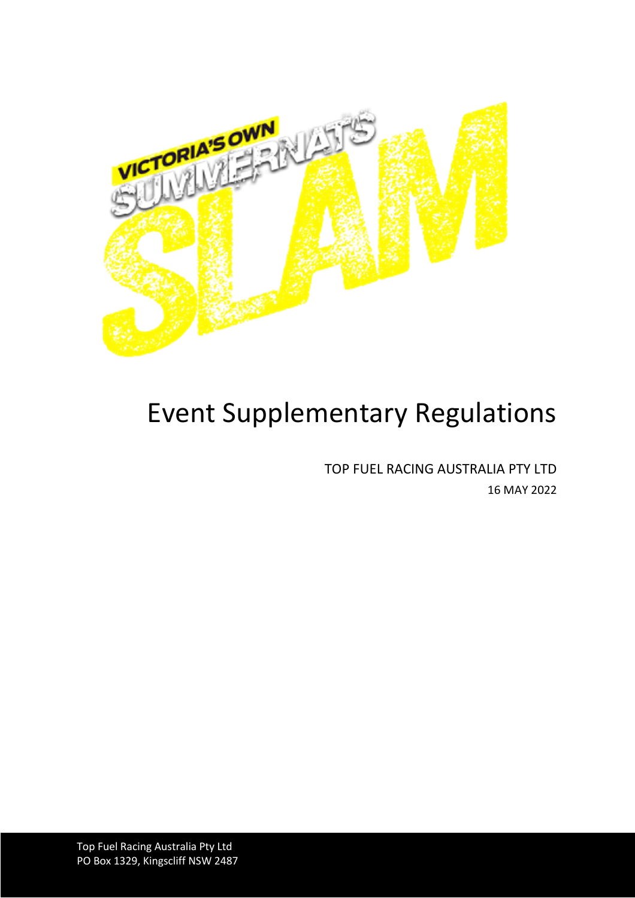

# Event Supplementary Regulations

TOP FUEL RACING AUSTRALIA PTY LTD 16 MAY 2022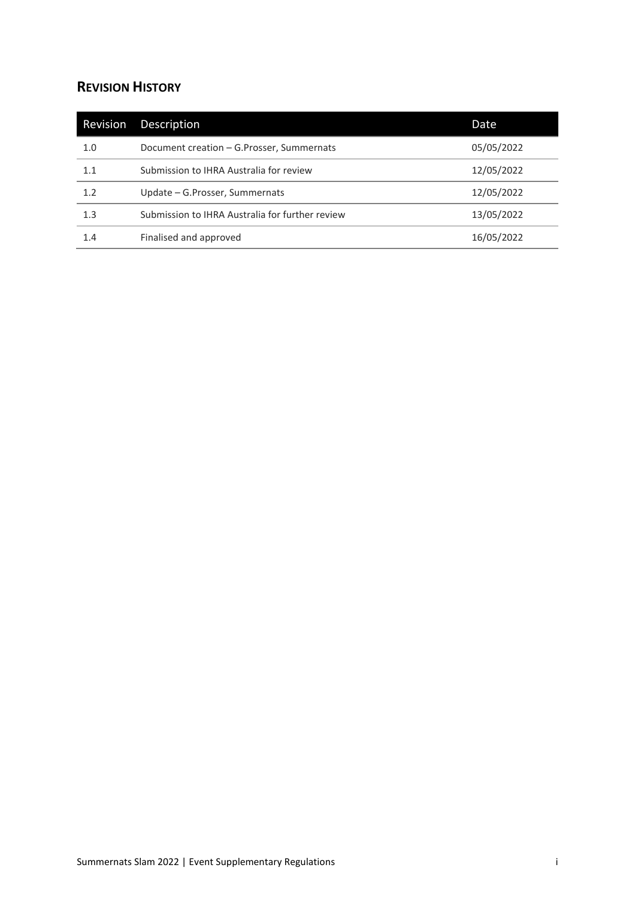# **REVISION HISTORY**

| Revision | <b>Description</b>                              | Date       |
|----------|-------------------------------------------------|------------|
| 1.0      | Document creation - G.Prosser, Summernats       | 05/05/2022 |
| 1.1      | Submission to IHRA Australia for review         | 12/05/2022 |
| 1.2      | Update – G.Prosser, Summernats                  | 12/05/2022 |
| 1.3      | Submission to IHRA Australia for further review | 13/05/2022 |
| 1.4      | Finalised and approved                          | 16/05/2022 |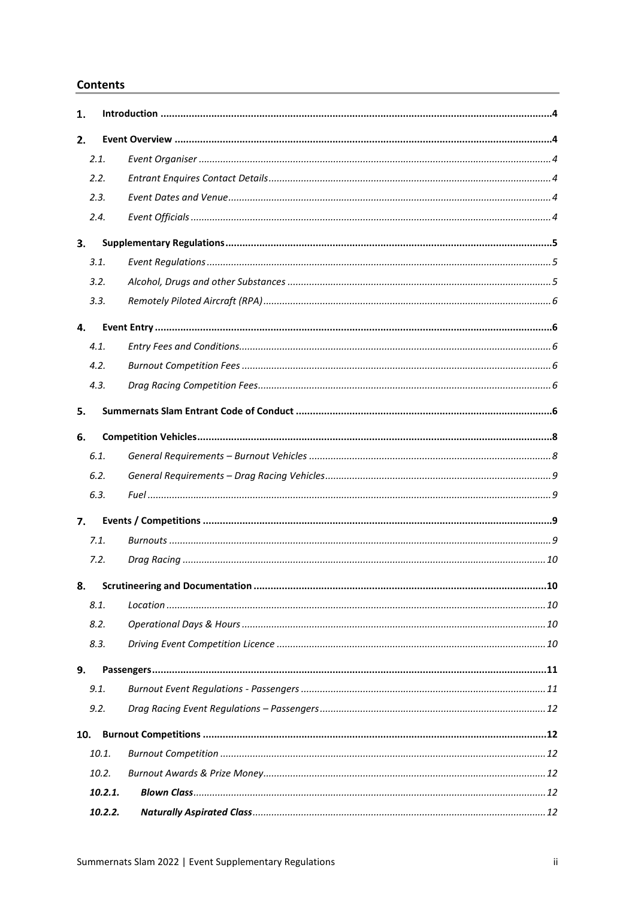### **Contents**

| 1.         |         |  |
|------------|---------|--|
| 2.         |         |  |
| 2.1.       |         |  |
| 2.2.       |         |  |
| 2.3.       |         |  |
| 2.4.       |         |  |
| 3.         |         |  |
| 3.1.       |         |  |
| 3.2.       |         |  |
| 3.3.       |         |  |
| 4.         |         |  |
| 4.1.       |         |  |
| 4.2.       |         |  |
| 4.3.       |         |  |
| 5.         |         |  |
|            |         |  |
| 6.<br>6.1. |         |  |
| 6.2.       |         |  |
| 6.3.       |         |  |
|            |         |  |
| 7.         |         |  |
| 7.1.       |         |  |
| 7.2.       |         |  |
| 8.         |         |  |
| 8.1.       |         |  |
| 8.2.       |         |  |
| 8.3.       |         |  |
| 9.         |         |  |
| 9.1.       |         |  |
| 9.2.       |         |  |
| 10.        |         |  |
|            | 10.1.   |  |
|            | 10.2.   |  |
|            | 10.2.1. |  |
|            | 10.2.2. |  |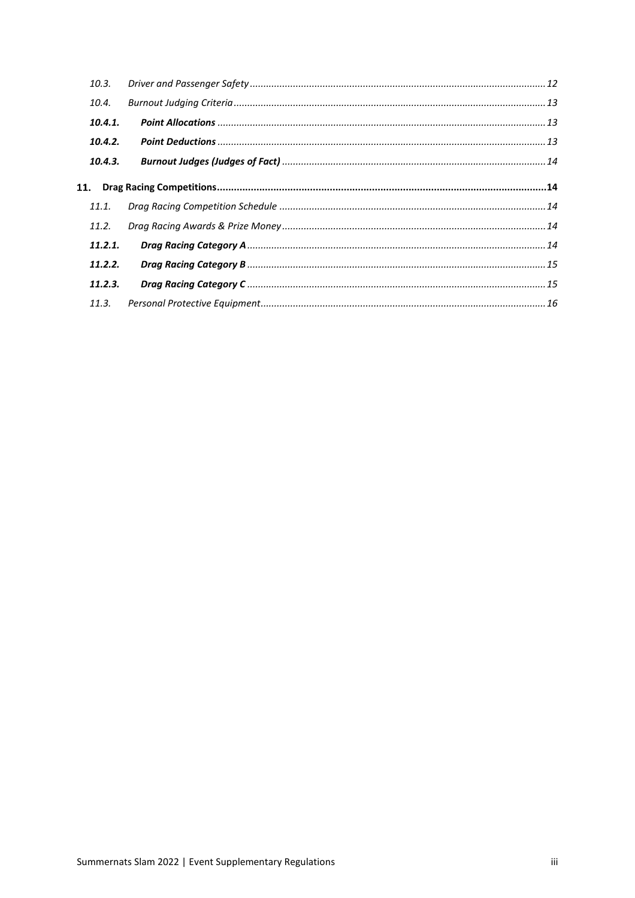| 10.3.   |  |
|---------|--|
| 10.4.   |  |
| 10.4.1. |  |
| 10.4.2. |  |
| 10.4.3. |  |
| 11.     |  |
| 11.1.   |  |
| 11.2.   |  |
| 11.2.1. |  |
| 11.2.2. |  |
| 11.2.3. |  |
| 11.3.   |  |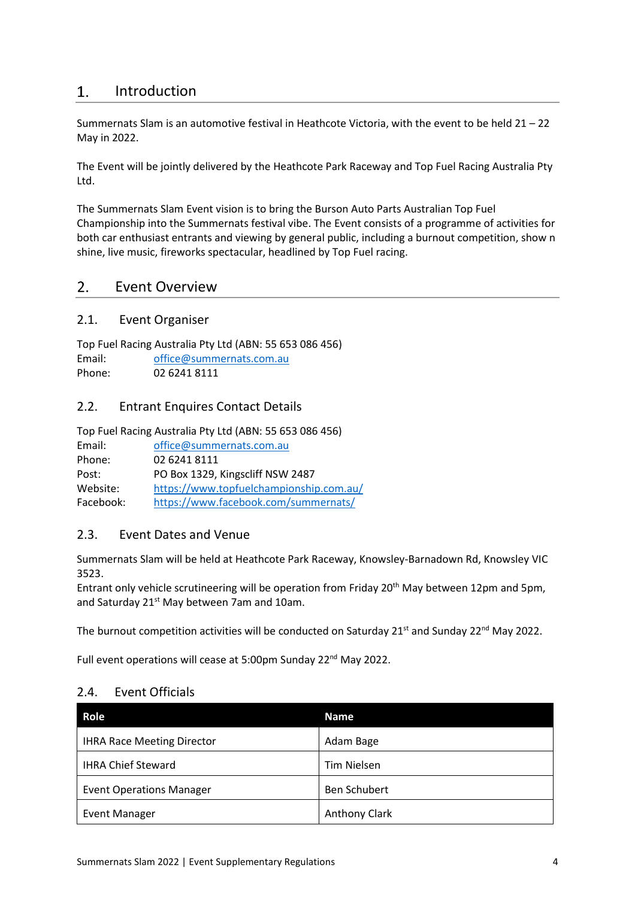#### <span id="page-4-0"></span>Introduction  $1.$

Summernats Slam is an automotive festival in Heathcote Victoria, with the event to be held  $21 - 22$ May in 2022.

The Event will be jointly delivered by the Heathcote Park Raceway and Top Fuel Racing Australia Pty Ltd.

The Summernats Slam Event vision is to bring the Burson Auto Parts Australian Top Fuel Championship into the Summernats festival vibe. The Event consists of a programme of activities for both car enthusiast entrants and viewing by general public, including a burnout competition, show n shine, live music, fireworks spectacular, headlined by Top Fuel racing.

#### <span id="page-4-1"></span> $2.$ Event Overview

# <span id="page-4-2"></span>2.1. Event Organiser

Top Fuel Racing Australia Pty Ltd (ABN: 55 653 086 456) Email: [office@summernats.com.au](mailto:office@summernats.com.au) Phone: 02 6241 8111

# <span id="page-4-3"></span>2.2. Entrant Enquires Contact Details

Top Fuel Racing Australia Pty Ltd (ABN: 55 653 086 456) Email: [office@summernats.com.au](mailto:office@summernats.com.au) Phone: 02 6241 8111 Post: PO Box 1329, Kingscliff NSW 2487 Website: <https://www.topfuelchampionship.com.au/> Facebook: <https://www.facebook.com/summernats/>

# <span id="page-4-4"></span>2.3. Event Dates and Venue

Summernats Slam will be held at Heathcote Park Raceway, Knowsley-Barnadown Rd, Knowsley VIC 3523.

Entrant only vehicle scrutineering will be operation from Friday 20<sup>th</sup> May between 12pm and 5pm, and Saturday 21<sup>st</sup> May between 7am and 10am.

The burnout competition activities will be conducted on Saturday  $21^{st}$  and Sunday  $22^{nd}$  May 2022.

Full event operations will cease at 5:00pm Sunday 22<sup>nd</sup> May 2022.

# <span id="page-4-5"></span>2.4. Event Officials

| Role                              | <b>Name</b>          |
|-----------------------------------|----------------------|
| <b>IHRA Race Meeting Director</b> | Adam Bage            |
| <b>IHRA Chief Steward</b>         | <b>Tim Nielsen</b>   |
| <b>Event Operations Manager</b>   | <b>Ben Schubert</b>  |
| <b>Event Manager</b>              | <b>Anthony Clark</b> |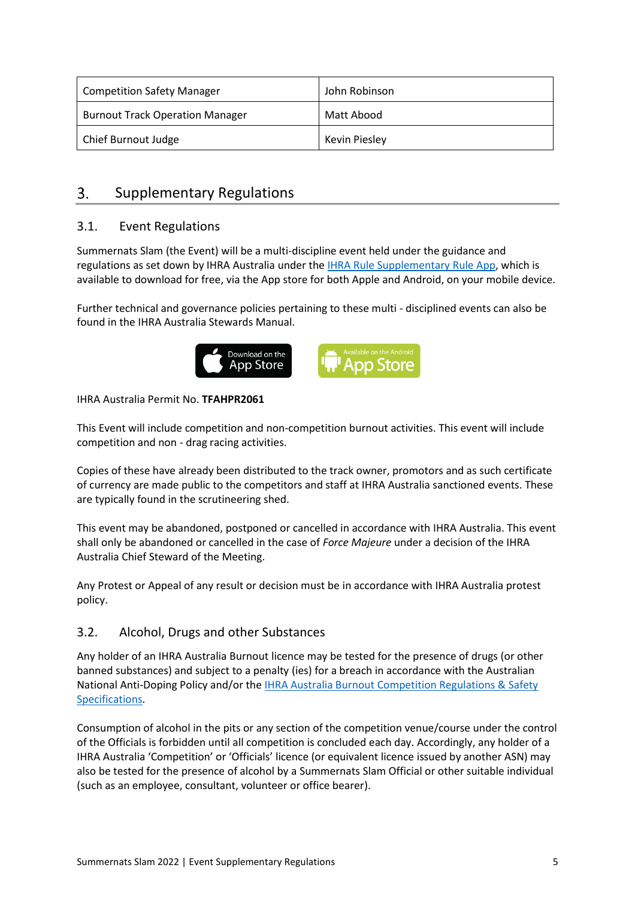| <b>Competition Safety Manager</b>      | John Robinson |
|----------------------------------------|---------------|
| <b>Burnout Track Operation Manager</b> | Matt Abood    |
| Chief Burnout Judge                    | Kevin Piesley |

#### <span id="page-5-0"></span> $3.$ Supplementary Regulations

# <span id="page-5-1"></span>3.1. Event Regulations

Summernats Slam (the Event) will be a multi-discipline event held under the guidance and regulations as set down by IHRA Australia under th[e IHRA Rule Supplementary](https://www.ihra.com.au/) Rule App, which is available to download for free, via the App store for both Apple and Android, on your mobile device.

Further technical and governance policies pertaining to these multi - disciplined events can also be found in the IHRA Australia Stewards Manual.



# IHRA Australia Permit No. **TFAHPR2061**

This Event will include competition and non-competition burnout activities. This event will include competition and non - drag racing activities.

Copies of these have already been distributed to the track owner, promotors and as such certificate of currency are made public to the competitors and staff at IHRA Australia sanctioned events. These are typically found in the scrutineering shed.

This event may be abandoned, postponed or cancelled in accordance with IHRA Australia. This event shall only be abandoned or cancelled in the case of *Force Majeure* under a decision of the IHRA Australia Chief Steward of the Meeting.

Any Protest or Appeal of any result or decision must be in accordance with IHRA Australia protest policy.

# <span id="page-5-2"></span>3.2. Alcohol, Drugs and other Substances

Any holder of an IHRA Australia Burnout licence may be tested for the presence of drugs (or other banned substances) and subject to a penalty (ies) for a breach in accordance with the Australian National Anti-Doping Policy and/or the **IHRA Australia Burnout Competition Regulations & Safety** [Specifications.](https://summernats.com.au/wp-content/uploads/2022/05/IHRA-Australia-Burnout-Competition-Regulations-Safety-Specifications-Revised-May-2022.pdf)

Consumption of alcohol in the pits or any section of the competition venue/course under the control of the Officials is forbidden until all competition is concluded each day. Accordingly, any holder of a IHRA Australia 'Competition' or 'Officials' licence (or equivalent licence issued by another ASN) may also be tested for the presence of alcohol by a Summernats Slam Official or other suitable individual (such as an employee, consultant, volunteer or office bearer).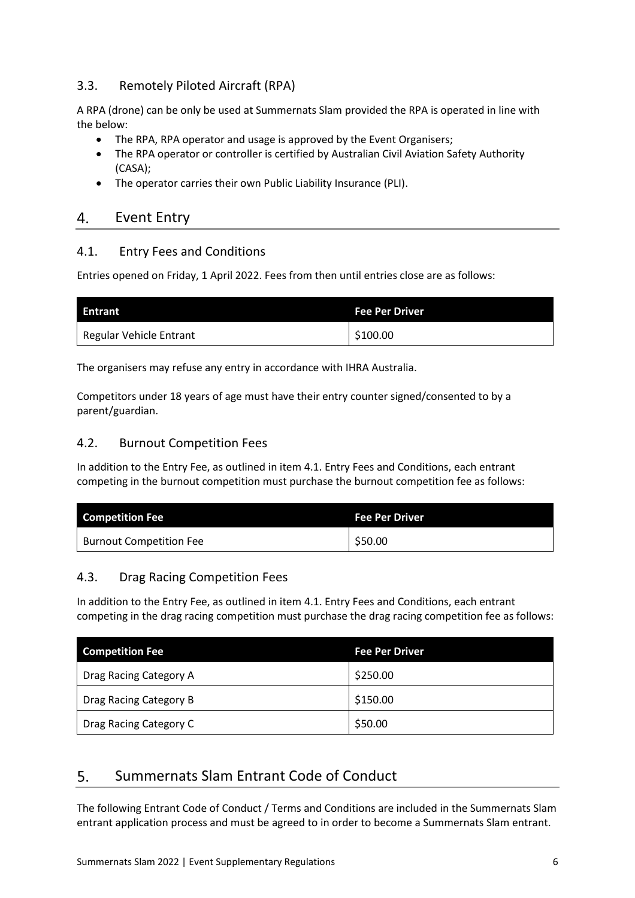# <span id="page-6-0"></span>3.3. Remotely Piloted Aircraft (RPA)

A RPA (drone) can be only be used at Summernats Slam provided the RPA is operated in line with the below:

- The RPA, RPA operator and usage is approved by the Event Organisers;
- The RPA operator or controller is certified by Australian Civil Aviation Safety Authority (CASA);
- The operator carries their own Public Liability Insurance (PLI).

#### <span id="page-6-1"></span> $\mathbf{4}$ . Event Entry

# <span id="page-6-2"></span>4.1. Entry Fees and Conditions

Entries opened on Friday, 1 April 2022. Fees from then until entries close are as follows:

| <b>Entrant</b>                 | <b>Fee Per Driver</b> |
|--------------------------------|-----------------------|
| <b>Regular Vehicle Entrant</b> | \$100.00              |

The organisers may refuse any entry in accordance with IHRA Australia.

Competitors under 18 years of age must have their entry counter signed/consented to by a parent/guardian.

# <span id="page-6-3"></span>4.2. Burnout Competition Fees

In addition to the Entry Fee, as outlined in item 4.1. Entry Fees and Conditions, each entrant competing in the burnout competition must purchase the burnout competition fee as follows:

| <b>Competition Fee</b>         | <b>Fee Per Driver</b> |
|--------------------------------|-----------------------|
| <b>Burnout Competition Fee</b> | \$50.00               |

# <span id="page-6-4"></span>4.3. Drag Racing Competition Fees

In addition to the Entry Fee, as outlined in item 4.1. Entry Fees and Conditions, each entrant competing in the drag racing competition must purchase the drag racing competition fee as follows:

| <b>Competition Fee</b> | <b>Fee Per Driver</b> |
|------------------------|-----------------------|
| Drag Racing Category A | \$250.00              |
| Drag Racing Category B | \$150.00              |
| Drag Racing Category C | \$50.00               |

#### <span id="page-6-5"></span>5. Summernats Slam Entrant Code of Conduct

The following Entrant Code of Conduct / Terms and Conditions are included in the Summernats Slam entrant application process and must be agreed to in order to become a Summernats Slam entrant.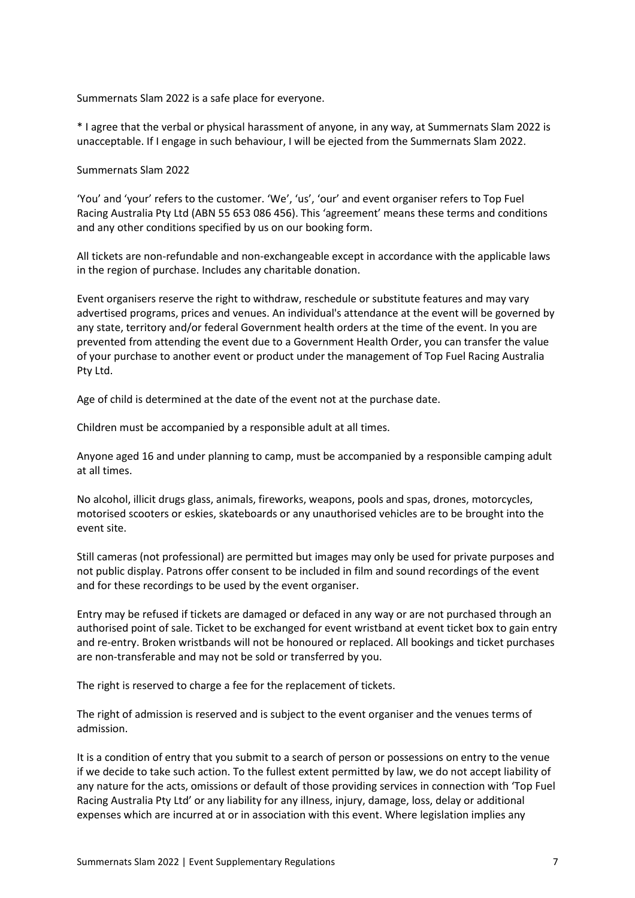Summernats Slam 2022 is a safe place for everyone.

\* I agree that the verbal or physical harassment of anyone, in any way, at Summernats Slam 2022 is unacceptable. If I engage in such behaviour, I will be ejected from the Summernats Slam 2022.

Summernats Slam 2022

'You' and 'your' refers to the customer. 'We', 'us', 'our' and event organiser refers to Top Fuel Racing Australia Pty Ltd (ABN 55 653 086 456). This 'agreement' means these terms and conditions and any other conditions specified by us on our booking form.

All tickets are non-refundable and non-exchangeable except in accordance with the applicable laws in the region of purchase. Includes any charitable donation.

Event organisers reserve the right to withdraw, reschedule or substitute features and may vary advertised programs, prices and venues. An individual's attendance at the event will be governed by any state, territory and/or federal Government health orders at the time of the event. In you are prevented from attending the event due to a Government Health Order, you can transfer the value of your purchase to another event or product under the management of Top Fuel Racing Australia Pty Ltd.

Age of child is determined at the date of the event not at the purchase date.

Children must be accompanied by a responsible adult at all times.

Anyone aged 16 and under planning to camp, must be accompanied by a responsible camping adult at all times.

No alcohol, illicit drugs glass, animals, fireworks, weapons, pools and spas, drones, motorcycles, motorised scooters or eskies, skateboards or any unauthorised vehicles are to be brought into the event site.

Still cameras (not professional) are permitted but images may only be used for private purposes and not public display. Patrons offer consent to be included in film and sound recordings of the event and for these recordings to be used by the event organiser.

Entry may be refused if tickets are damaged or defaced in any way or are not purchased through an authorised point of sale. Ticket to be exchanged for event wristband at event ticket box to gain entry and re-entry. Broken wristbands will not be honoured or replaced. All bookings and ticket purchases are non-transferable and may not be sold or transferred by you.

The right is reserved to charge a fee for the replacement of tickets.

The right of admission is reserved and is subject to the event organiser and the venues terms of admission.

It is a condition of entry that you submit to a search of person or possessions on entry to the venue if we decide to take such action. To the fullest extent permitted by law, we do not accept liability of any nature for the acts, omissions or default of those providing services in connection with 'Top Fuel Racing Australia Pty Ltd' or any liability for any illness, injury, damage, loss, delay or additional expenses which are incurred at or in association with this event. Where legislation implies any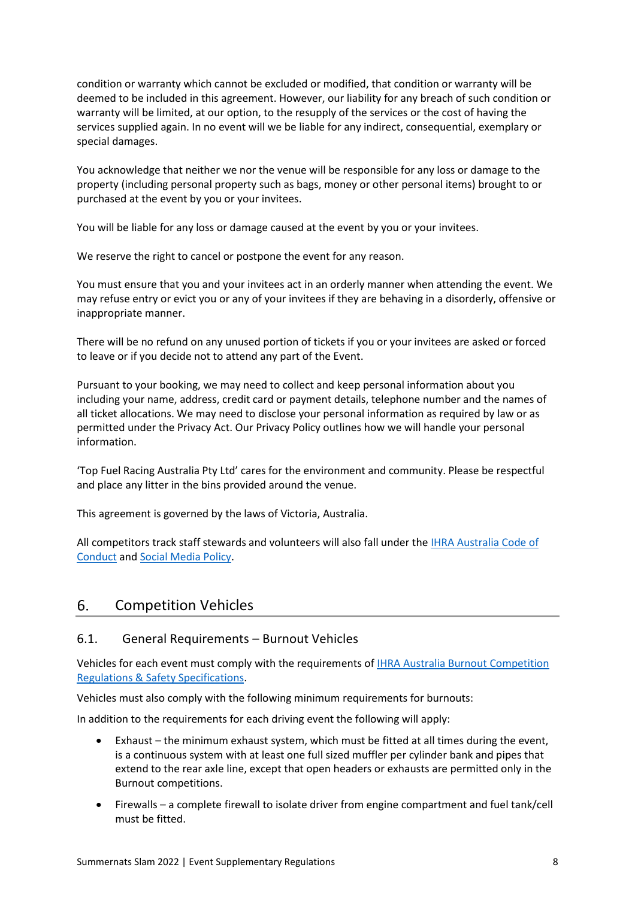condition or warranty which cannot be excluded or modified, that condition or warranty will be deemed to be included in this agreement. However, our liability for any breach of such condition or warranty will be limited, at our option, to the resupply of the services or the cost of having the services supplied again. In no event will we be liable for any indirect, consequential, exemplary or special damages.

You acknowledge that neither we nor the venue will be responsible for any loss or damage to the property (including personal property such as bags, money or other personal items) brought to or purchased at the event by you or your invitees.

You will be liable for any loss or damage caused at the event by you or your invitees.

We reserve the right to cancel or postpone the event for any reason.

You must ensure that you and your invitees act in an orderly manner when attending the event. We may refuse entry or evict you or any of your invitees if they are behaving in a disorderly, offensive or inappropriate manner.

There will be no refund on any unused portion of tickets if you or your invitees are asked or forced to leave or if you decide not to attend any part of the Event.

Pursuant to your booking, we may need to collect and keep personal information about you including your name, address, credit card or payment details, telephone number and the names of all ticket allocations. We may need to disclose your personal information as required by law or as permitted under the Privacy Act. Our Privacy Policy outlines how we will handle your personal information.

'Top Fuel Racing Australia Pty Ltd' cares for the environment and community. Please be respectful and place any litter in the bins provided around the venue.

This agreement is governed by the laws of Victoria, Australia.

All competitors track staff stewards and volunteers will also fall under th[e IHRA Australia Code of](https://www.ihra.com.au/1.8%20IHRA%20AUSTRALIA%20Code%20of%20Conduct%20Policy%20V1.0%20092018.pdf)  [Conduct](https://www.ihra.com.au/1.8%20IHRA%20AUSTRALIA%20Code%20of%20Conduct%20Policy%20V1.0%20092018.pdf) and [Social Media Policy.](https://www.ihra.com.au/1.9%20SOCIAL%20MEDIA%20POLICY%20IHRA%20V1.0%20052018.pdf)

#### <span id="page-8-0"></span>6. Competition Vehicles

# <span id="page-8-1"></span>6.1. General Requirements – Burnout Vehicles

Vehicles for each event must comply with the requirements of [IHRA Australia Burnout Competition](https://summernats.com.au/wp-content/uploads/2022/05/IHRA-Australia-Burnout-Competition-Regulations-Safety-Specifications-Revised-May-2022.pdf)  [Regulations & Safety Specifications.](https://summernats.com.au/wp-content/uploads/2022/05/IHRA-Australia-Burnout-Competition-Regulations-Safety-Specifications-Revised-May-2022.pdf)

Vehicles must also comply with the following minimum requirements for burnouts:

In addition to the requirements for each driving event the following will apply:

- Exhaust the minimum exhaust system, which must be fitted at all times during the event, is a continuous system with at least one full sized muffler per cylinder bank and pipes that extend to the rear axle line, except that open headers or exhausts are permitted only in the Burnout competitions.
- Firewalls a complete firewall to isolate driver from engine compartment and fuel tank/cell must be fitted.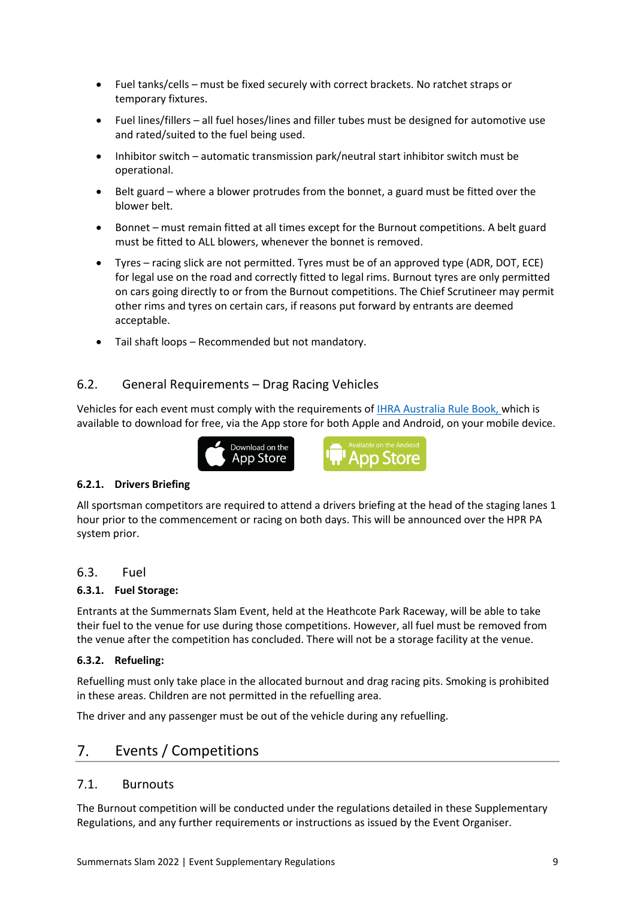- Fuel tanks/cells must be fixed securely with correct brackets. No ratchet straps or temporary fixtures.
- Fuel lines/fillers all fuel hoses/lines and filler tubes must be designed for automotive use and rated/suited to the fuel being used.
- Inhibitor switch automatic transmission park/neutral start inhibitor switch must be operational.
- Belt guard where a blower protrudes from the bonnet, a guard must be fitted over the blower belt.
- Bonnet must remain fitted at all times except for the Burnout competitions. A belt guard must be fitted to ALL blowers, whenever the bonnet is removed.
- Tyres racing slick are not permitted. Tyres must be of an approved type (ADR, DOT, ECE) for legal use on the road and correctly fitted to legal rims. Burnout tyres are only permitted on cars going directly to or from the Burnout competitions. The Chief Scrutineer may permit other rims and tyres on certain cars, if reasons put forward by entrants are deemed acceptable.
- Tail shaft loops Recommended but not mandatory.

# <span id="page-9-0"></span>6.2. General Requirements – Drag Racing Vehicles

Vehicles for each event must comply with the requirements of [IHRA Australia Rule Book,](https://www.ihra.com.au/) which is available to download for free, via the App store for both Apple and Android, on your mobile device.



#### **6.2.1. Drivers Briefing**

All sportsman competitors are required to attend a drivers briefing at the head of the staging lanes 1 hour prior to the commencement or racing on both days. This will be announced over the HPR PA system prior.

# <span id="page-9-1"></span>6.3. Fuel

# **6.3.1. Fuel Storage:**

Entrants at the Summernats Slam Event, held at the Heathcote Park Raceway, will be able to take their fuel to the venue for use during those competitions. However, all fuel must be removed from the venue after the competition has concluded. There will not be a storage facility at the venue.

#### **6.3.2. Refueling:**

Refuelling must only take place in the allocated burnout and drag racing pits. Smoking is prohibited in these areas. Children are not permitted in the refuelling area.

The driver and any passenger must be out of the vehicle during any refuelling.

#### <span id="page-9-2"></span>Events / Competitions 7.

# <span id="page-9-3"></span>7.1. Burnouts

The Burnout competition will be conducted under the regulations detailed in these Supplementary Regulations, and any further requirements or instructions as issued by the Event Organiser.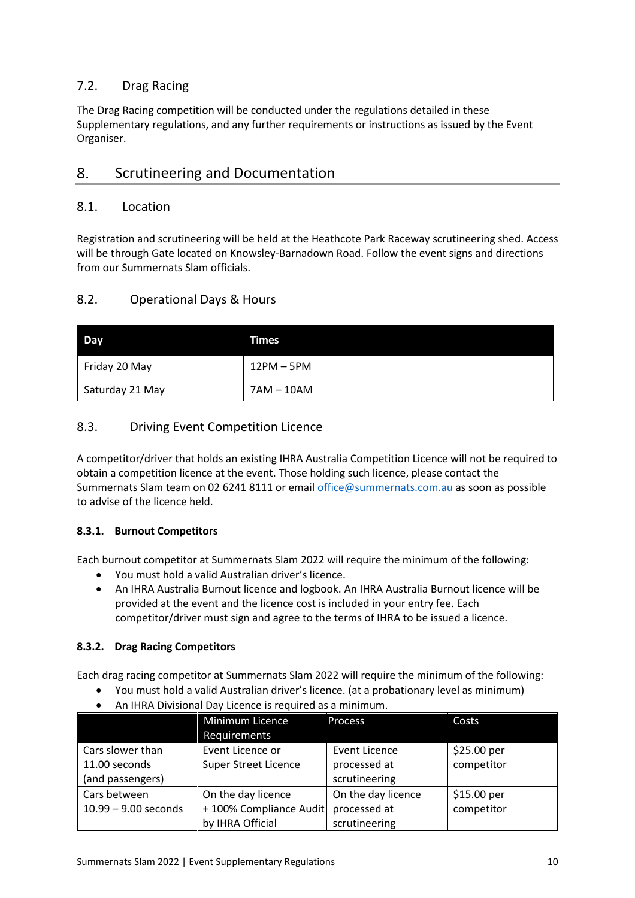# <span id="page-10-0"></span>7.2. Drag Racing

The Drag Racing competition will be conducted under the regulations detailed in these Supplementary regulations, and any further requirements or instructions as issued by the Event Organiser.

#### <span id="page-10-1"></span>8. Scrutineering and Documentation

# <span id="page-10-2"></span>8.1. Location

Registration and scrutineering will be held at the Heathcote Park Raceway scrutineering shed. Access will be through Gate located on Knowsley-Barnadown Road. Follow the event signs and directions from our Summernats Slam officials.

# <span id="page-10-3"></span>8.2. Operational Days & Hours

| Day             | <b>Times</b> |
|-----------------|--------------|
| Friday 20 May   | $12PM - 5PM$ |
| Saturday 21 May | 7AM – 10AM   |

# <span id="page-10-4"></span>8.3. Driving Event Competition Licence

A competitor/driver that holds an existing IHRA Australia Competition Licence will not be required to obtain a competition licence at the event. Those holding such licence, please contact the Summernats Slam team on 02 6241 8111 or email [office@summernats.com.au](mailto:office@summernats.com.au) as soon as possible to advise of the licence held.

# **8.3.1. Burnout Competitors**

Each burnout competitor at Summernats Slam 2022 will require the minimum of the following:

- You must hold a valid Australian driver's licence.
- An IHRA Australia Burnout licence and logbook. An IHRA Australia Burnout licence will be provided at the event and the licence cost is included in your entry fee. Each competitor/driver must sign and agree to the terms of IHRA to be issued a licence.

# **8.3.2. Drag Racing Competitors**

Each drag racing competitor at Summernats Slam 2022 will require the minimum of the following:

- You must hold a valid Australian driver's licence. (at a probationary level as minimum)
- An IHRA Divisional Day Licence is required as a minimum.

|                        | Minimum Licence             | Process            | Costs       |
|------------------------|-----------------------------|--------------------|-------------|
|                        | Requirements                |                    |             |
| Cars slower than       | Event Licence or            | Event Licence      | \$25.00 per |
| 11.00 seconds          | <b>Super Street Licence</b> | processed at       | competitor  |
| (and passengers)       |                             | scrutineering      |             |
| Cars between           | On the day licence          | On the day licence | \$15.00 per |
| $10.99 - 9.00$ seconds | +100% Compliance Audit      | processed at       | competitor  |
|                        | by IHRA Official            | scrutineering      |             |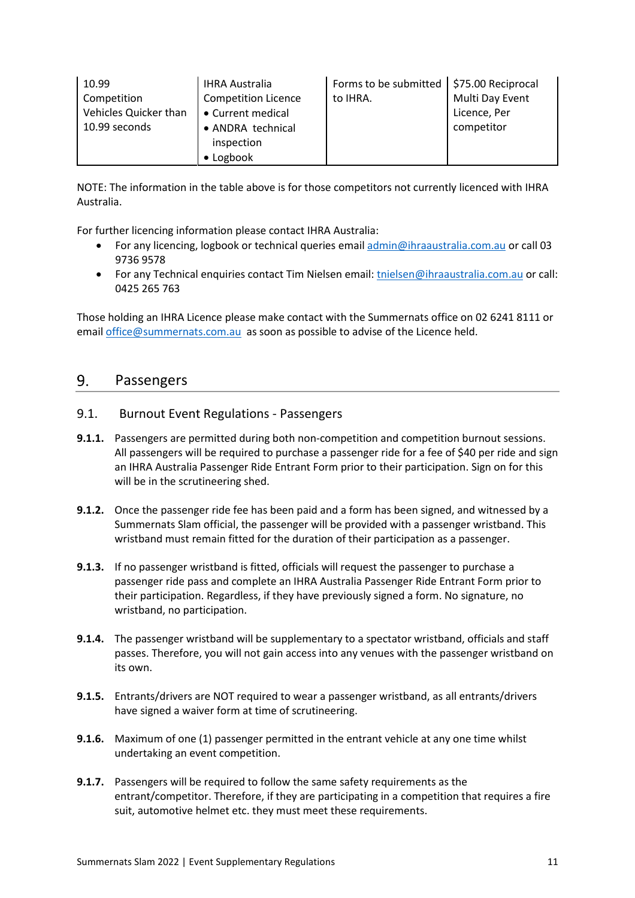| 10.99                 | <b>IHRA Australia</b>      | Forms to be submitted   \$75.00 Reciprocal |                 |
|-----------------------|----------------------------|--------------------------------------------|-----------------|
| Competition           | <b>Competition Licence</b> | to IHRA.                                   | Multi Day Event |
| Vehicles Quicker than | • Current medical          |                                            | Licence, Per    |
| 10.99 seconds         | • ANDRA technical          |                                            | competitor      |
|                       | inspection                 |                                            |                 |
|                       | $\bullet$ Logbook          |                                            |                 |

NOTE: The information in the table above is for those competitors not currently licenced with IHRA Australia.

For further licencing information please contact IHRA Australia:

- For any licencing, logbook or technical queries email [admin@ihraaustralia.com.au](mailto:admin@ihraaustralia.com.au) or call 03 9736 9578
- For any Technical enquiries contact Tim Nielsen email: [tnielsen@ihraaustralia.com.au](mailto:tnielsen@ihraaustralia.com.au) or call: 0425 265 763

Those holding an IHRA Licence please make contact with the Summernats office on 02 6241 8111 or email [office@summernats.com.au](mailto:rcnadmin@summernats.com.au) as soon as possible to advise of the Licence held.

#### <span id="page-11-0"></span> $9<sub>1</sub>$ Passengers

# <span id="page-11-1"></span>9.1. Burnout Event Regulations - Passengers

- **9.1.1.** Passengers are permitted during both non-competition and competition burnout sessions. All passengers will be required to purchase a passenger ride for a fee of \$40 per ride and sign an IHRA Australia Passenger Ride Entrant Form prior to their participation. Sign on for this will be in the scrutineering shed.
- **9.1.2.** Once the passenger ride fee has been paid and a form has been signed, and witnessed by a Summernats Slam official, the passenger will be provided with a passenger wristband. This wristband must remain fitted for the duration of their participation as a passenger.
- **9.1.3.** If no passenger wristband is fitted, officials will request the passenger to purchase a passenger ride pass and complete an IHRA Australia Passenger Ride Entrant Form prior to their participation. Regardless, if they have previously signed a form. No signature, no wristband, no participation.
- **9.1.4.** The passenger wristband will be supplementary to a spectator wristband, officials and staff passes. Therefore, you will not gain access into any venues with the passenger wristband on its own.
- **9.1.5.** Entrants/drivers are NOT required to wear a passenger wristband, as all entrants/drivers have signed a waiver form at time of scrutineering.
- **9.1.6.** Maximum of one (1) passenger permitted in the entrant vehicle at any one time whilst undertaking an event competition.
- **9.1.7.** Passengers will be required to follow the same safety requirements as the entrant/competitor. Therefore, if they are participating in a competition that requires a fire suit, automotive helmet etc. they must meet these requirements.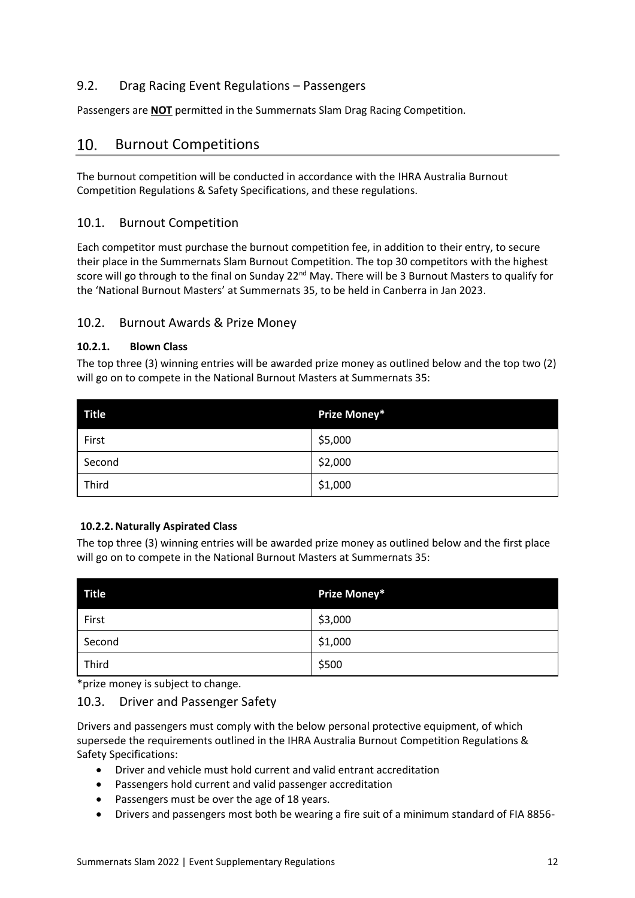# <span id="page-12-0"></span>9.2. Drag Racing Event Regulations – Passengers

<span id="page-12-1"></span>Passengers are **NOT** permitted in the Summernats Slam Drag Racing Competition.

#### 10. Burnout Competitions

The burnout competition will be conducted in accordance with the IHRA Australia Burnout Competition Regulations & Safety Specifications, and these regulations.

# <span id="page-12-2"></span>10.1. Burnout Competition

Each competitor must purchase the burnout competition fee, in addition to their entry, to secure their place in the Summernats Slam Burnout Competition. The top 30 competitors with the highest score will go through to the final on Sunday 22<sup>nd</sup> May. There will be 3 Burnout Masters to qualify for the 'National Burnout Masters' at Summernats 35, to be held in Canberra in Jan 2023.

# <span id="page-12-3"></span>10.2. Burnout Awards & Prize Money

#### <span id="page-12-4"></span>**10.2.1. Blown Class**

The top three (3) winning entries will be awarded prize money as outlined below and the top two (2) will go on to compete in the National Burnout Masters at Summernats 35:

| <b>Title</b> | <b>Prize Money*</b> |
|--------------|---------------------|
| First        | \$5,000             |
| Second       | \$2,000             |
| Third        | \$1,000             |

#### <span id="page-12-5"></span>**10.2.2.Naturally Aspirated Class**

The top three (3) winning entries will be awarded prize money as outlined below and the first place will go on to compete in the National Burnout Masters at Summernats 35:

| <b>Title</b> | Prize Money* |
|--------------|--------------|
| First        | \$3,000      |
| Second       | \$1,000      |
| Third        | \$500        |

\*prize money is subject to change.

# <span id="page-12-6"></span>10.3. Driver and Passenger Safety

Drivers and passengers must comply with the below personal protective equipment, of which supersede the requirements outlined in the IHRA Australia Burnout Competition Regulations & Safety Specifications:

- Driver and vehicle must hold current and valid entrant accreditation
- Passengers hold current and valid passenger accreditation
- Passengers must be over the age of 18 years.
- Drivers and passengers most both be wearing a fire suit of a minimum standard of FIA 8856-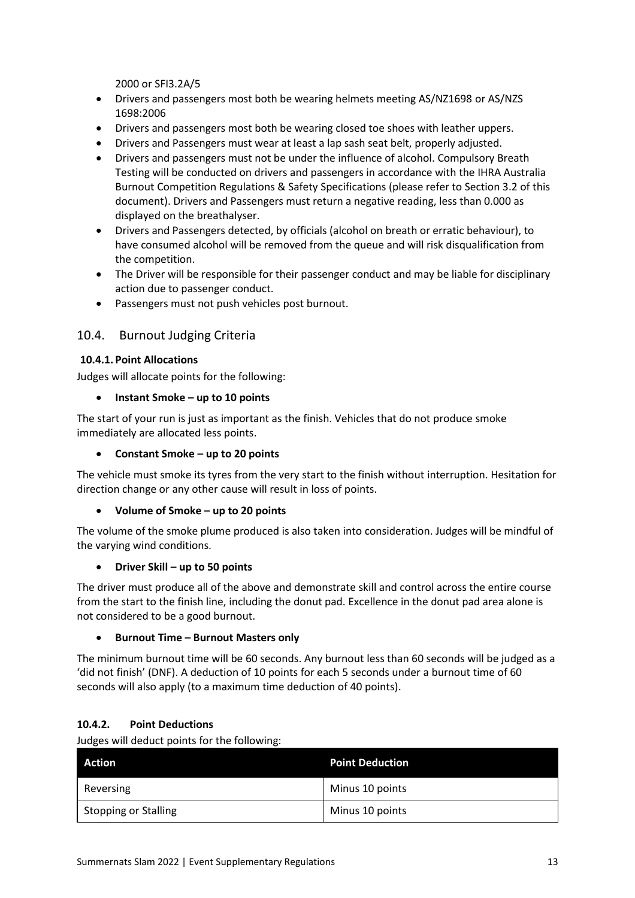2000 or SFI3.2A/5

- Drivers and passengers most both be wearing helmets meeting AS/NZ1698 or AS/NZS 1698:2006
- Drivers and passengers most both be wearing closed toe shoes with leather uppers.
- Drivers and Passengers must wear at least a lap sash seat belt, properly adjusted.
- Drivers and passengers must not be under the influence of alcohol. Compulsory Breath Testing will be conducted on drivers and passengers in accordance with the IHRA Australia Burnout Competition Regulations & Safety Specifications (please refer to Section 3.2 of this document). Drivers and Passengers must return a negative reading, less than 0.000 as displayed on the breathalyser.
- Drivers and Passengers detected, by officials (alcohol on breath or erratic behaviour), to have consumed alcohol will be removed from the queue and will risk disqualification from the competition.
- The Driver will be responsible for their passenger conduct and may be liable for disciplinary action due to passenger conduct.
- Passengers must not push vehicles post burnout.

# <span id="page-13-0"></span>10.4. Burnout Judging Criteria

### <span id="page-13-1"></span>**10.4.1. Point Allocations**

Judges will allocate points for the following:

• **Instant Smoke – up to 10 points**

The start of your run is just as important as the finish. Vehicles that do not produce smoke immediately are allocated less points.

# • **Constant Smoke – up to 20 points**

The vehicle must smoke its tyres from the very start to the finish without interruption. Hesitation for direction change or any other cause will result in loss of points.

# • **Volume of Smoke – up to 20 points**

The volume of the smoke plume produced is also taken into consideration. Judges will be mindful of the varying wind conditions.

# • **Driver Skill – up to 50 points**

The driver must produce all of the above and demonstrate skill and control across the entire course from the start to the finish line, including the donut pad. Excellence in the donut pad area alone is not considered to be a good burnout.

# • **Burnout Time – Burnout Masters only**

The minimum burnout time will be 60 seconds. Any burnout less than 60 seconds will be judged as a 'did not finish' (DNF). A deduction of 10 points for each 5 seconds under a burnout time of 60 seconds will also apply (to a maximum time deduction of 40 points).

# <span id="page-13-2"></span>**10.4.2. Point Deductions**

Judges will deduct points for the following:

| <b>Action</b>               | <b>Point Deduction</b> |
|-----------------------------|------------------------|
| Reversing                   | Minus 10 points        |
| <b>Stopping or Stalling</b> | Minus 10 points        |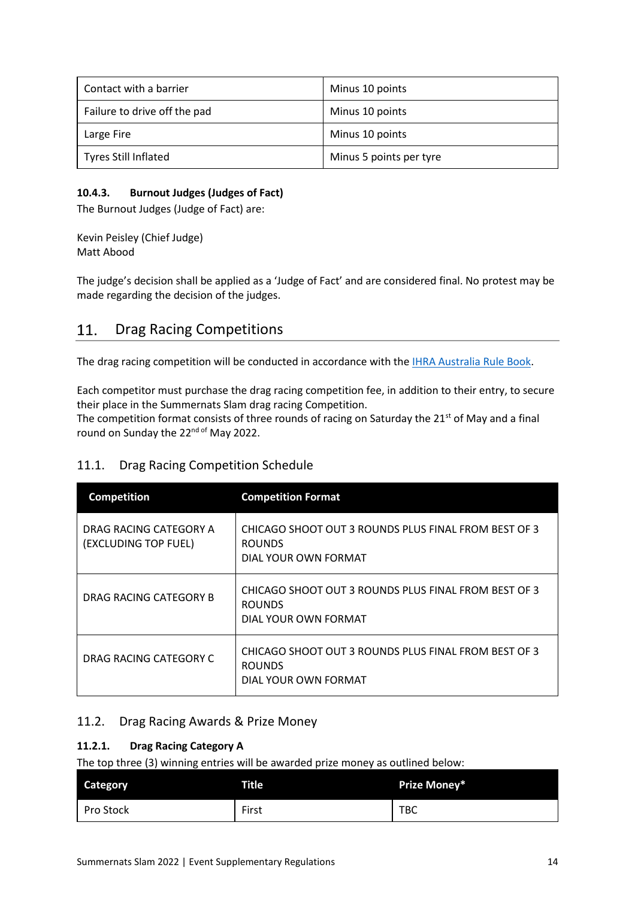| Contact with a barrier       | Minus 10 points         |
|------------------------------|-------------------------|
| Failure to drive off the pad | Minus 10 points         |
| Large Fire                   | Minus 10 points         |
| <b>Tyres Still Inflated</b>  | Minus 5 points per tyre |

# <span id="page-14-0"></span>**10.4.3. Burnout Judges (Judges of Fact)**

The Burnout Judges (Judge of Fact) are:

Kevin Peisley (Chief Judge) Matt Abood

The judge's decision shall be applied as a 'Judge of Fact' and are considered final. No protest may be made regarding the decision of the judges.

#### <span id="page-14-1"></span>11. Drag Racing Competitions

The drag racing competition will be conducted in accordance with the [IHRA Australia Rule Book.](https://www.ihra.com.au/1.8%20IHRA%20AUSTRALIA%20Code%20of%20Conduct%20Policy%20V1.0%20092018.pdf)

Each competitor must purchase the drag racing competition fee, in addition to their entry, to secure their place in the Summernats Slam drag racing Competition.

The competition format consists of three rounds of racing on Saturday the 21<sup>st</sup> of May and a final round on Sunday the 22<sup>nd of</sup> May 2022.

# <span id="page-14-2"></span>11.1. Drag Racing Competition Schedule

| <b>Competition</b>                             | <b>Competition Format</b>                                                                     |
|------------------------------------------------|-----------------------------------------------------------------------------------------------|
| DRAG RACING CATEGORY A<br>(EXCLUDING TOP FUEL) | CHICAGO SHOOT OUT 3 ROUNDS PLUS FINAL FROM BEST OF 3<br><b>ROUNDS</b><br>DIAL YOUR OWN FORMAT |
| DRAG RACING CATEGORY B                         | CHICAGO SHOOT OUT 3 ROUNDS PLUS FINAL FROM BEST OF 3<br><b>ROUNDS</b><br>DIAL YOUR OWN FORMAT |
| DRAG RACING CATEGORY C                         | CHICAGO SHOOT OUT 3 ROUNDS PLUS FINAL FROM BEST OF 3<br><b>ROUNDS</b><br>DIAL YOUR OWN FORMAT |

# <span id="page-14-3"></span>11.2. Drag Racing Awards & Prize Money

# <span id="page-14-4"></span>**11.2.1. Drag Racing Category A**

The top three (3) winning entries will be awarded prize money as outlined below:

| <b>Category</b> | <b>Title</b> | Prize Money* |
|-----------------|--------------|--------------|
| Pro Stock       | First        | TBC          |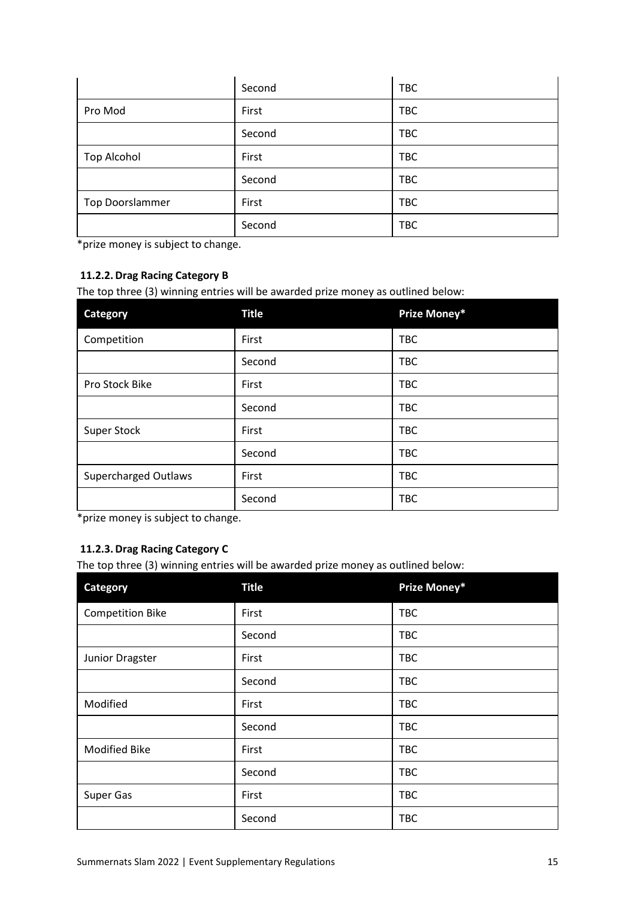|                        | Second | <b>TBC</b> |
|------------------------|--------|------------|
| Pro Mod                | First  | <b>TBC</b> |
|                        | Second | <b>TBC</b> |
| <b>Top Alcohol</b>     | First  | <b>TBC</b> |
|                        | Second | TBC        |
| <b>Top Doorslammer</b> | First  | TBC        |
|                        | Second | <b>TBC</b> |

\*prize money is subject to change.

# <span id="page-15-0"></span>**11.2.2. Drag Racing Category B**

The top three (3) winning entries will be awarded prize money as outlined below:

| <b>Category</b>             | <b>Title</b> | <b>Prize Money*</b> |
|-----------------------------|--------------|---------------------|
| Competition                 | First        | <b>TBC</b>          |
|                             | Second       | <b>TBC</b>          |
| Pro Stock Bike              | First        | <b>TBC</b>          |
|                             | Second       | <b>TBC</b>          |
| Super Stock                 | First        | <b>TBC</b>          |
|                             | Second       | <b>TBC</b>          |
| <b>Supercharged Outlaws</b> | First        | <b>TBC</b>          |
|                             | Second       | <b>TBC</b>          |

\*prize money is subject to change.

# <span id="page-15-1"></span>**11.2.3. Drag Racing Category C**

The top three (3) winning entries will be awarded prize money as outlined below:

| <b>Category</b>         | <b>Title</b> | Prize Money* |
|-------------------------|--------------|--------------|
| <b>Competition Bike</b> | First        | <b>TBC</b>   |
|                         | Second       | <b>TBC</b>   |
| Junior Dragster         | First        | <b>TBC</b>   |
|                         | Second       | <b>TBC</b>   |
| Modified                | First        | <b>TBC</b>   |
|                         | Second       | <b>TBC</b>   |
| <b>Modified Bike</b>    | First        | <b>TBC</b>   |
|                         | Second       | <b>TBC</b>   |
| Super Gas               | First        | <b>TBC</b>   |
|                         | Second       | <b>TBC</b>   |